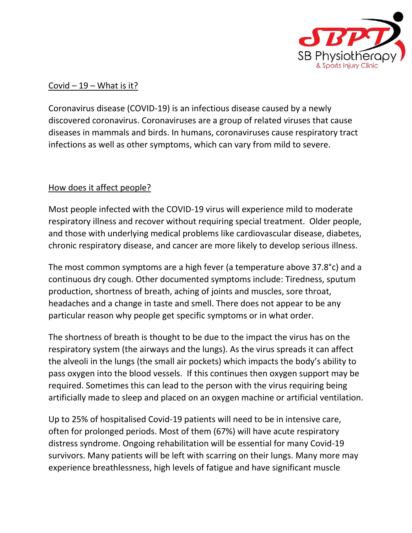

## Covid  $-19$  – What is it?

Coronavirus disease (COVID-19) is an infectious disease caused by a newly discovered coronavirus. Coronaviruses are a group of related viruses that cause diseases in [mammals](https://en.wikipedia.org/wiki/Mammals) and [birds.](https://en.wikipedia.org/wiki/Birds) In humans, coronaviruses cause respiratory tract infections as well as other symptoms, which can vary from mild to severe.

# How does it affect people?

Most people infected with the COVID-19 virus will experience mild to moderate respiratory illness and recover without requiring special treatment. Older people, and those with underlying medical problems like cardiovascular disease, diabetes, chronic respiratory disease, and cancer are more likely to develop serious illness.

The most common symptoms are a high fever (a temperature above 37.8°c) and a continuous dry cough. Other documented symptoms include: Tiredness, sputum production, shortness of breath, aching of joints and muscles, sore throat, headaches and a change in taste and smell. There does not appear to be any particular reason why people get specific symptoms or in what order.

The shortness of breath is thought to be due to the impact the virus has on the respiratory system (the airways and the lungs). As the virus spreads it can affect the alveoli in the lungs (the small air pockets) which impacts the body's ability to pass oxygen into the blood vessels. If this continues then oxygen support may be required. Sometimes this can lead to the person with the virus requiring being artificially made to sleep and placed on an oxygen machine or artificial ventilation.

Up to 25% of hospitalised Covid-19 patients will need to be in intensive care, often for prolonged periods. Most of them (67%) will have acute respiratory distress syndrome. Ongoing rehabilitation will be essential for many Covid-19 survivors. Many patients will be left with scarring on their lungs. Many more may experience breathlessness, high levels of fatigue and have significant muscle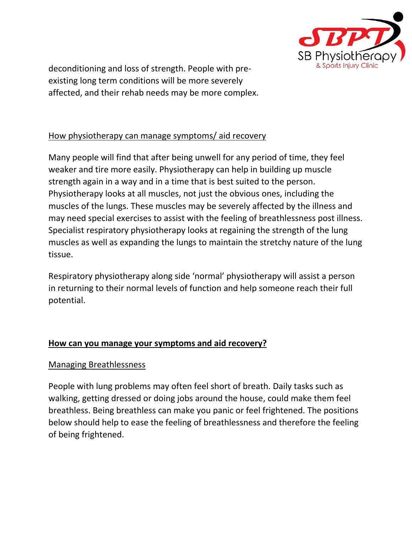

deconditioning and loss of strength. People with preexisting long term conditions will be more severely affected, and their rehab needs may be more complex.

# How physiotherapy can manage symptoms/ aid recovery

Many people will find that after being unwell for any period of time, they feel weaker and tire more easily. Physiotherapy can help in building up muscle strength again in a way and in a time that is best suited to the person. Physiotherapy looks at all muscles, not just the obvious ones, including the muscles of the lungs. These muscles may be severely affected by the illness and may need special exercises to assist with the feeling of breathlessness post illness. Specialist respiratory physiotherapy looks at regaining the strength of the lung muscles as well as expanding the lungs to maintain the stretchy nature of the lung tissue.

Respiratory physiotherapy along side 'normal' physiotherapy will assist a person in returning to their normal levels of function and help someone reach their full potential.

# **How can you manage your symptoms and aid recovery?**

# Managing Breathlessness

People with lung problems may often feel short of breath. Daily tasks such as walking, getting dressed or doing jobs around the house, could make them feel breathless. Being breathless can make you panic or feel frightened. The positions below should help to ease the feeling of breathlessness and therefore the feeling of being frightened.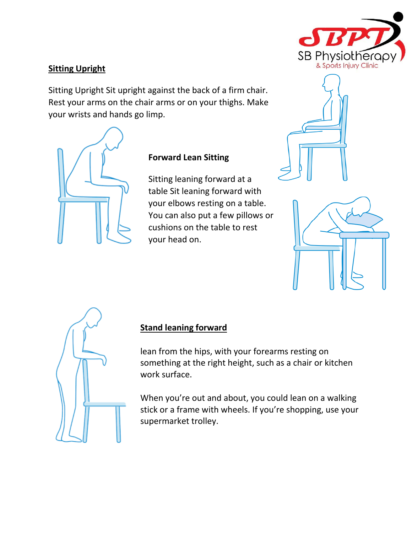

# **Sitting Upright**

Sitting Upright Sit upright against the back of a firm chair. Rest your arms on the chair arms or on your thighs. Make your wrists and hands go limp.



## **Forward Lean Sitting**

Sitting leaning forward at a table Sit leaning forward with your elbows resting on a table. You can also put a few pillows or cushions on the table to rest your head on.







## **Stand leaning forward**

lean from the hips, with your forearms resting on something at the right height, such as a chair or kitchen work surface.

When you're out and about, you could lean on a walking stick or a frame with wheels. If you're shopping, use your supermarket trolley.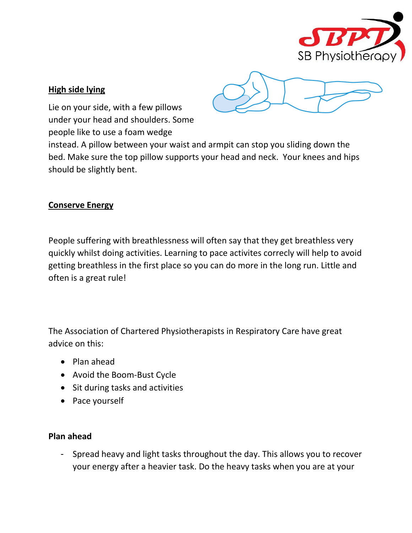

## **High side lying**



Lie on your side, with a few pillows under your head and shoulders. Some people like to use a foam wedge

instead. A pillow between your waist and armpit can stop you sliding down the bed. Make sure the top pillow supports your head and neck. Your knees and hips should be slightly bent.

## **Conserve Energy**

People suffering with breathlessness will often say that they get breathless very quickly whilst doing activities. Learning to pace activites correcly will help to avoid getting breathless in the first place so you can do more in the long run. Little and often is a great rule!

The Association of Chartered Physiotherapists in Respiratory Care have great advice on this:

- Plan ahead
- Avoid the Boom-Bust Cycle
- Sit during tasks and activities
- Pace yourself

## **Plan ahead**

- Spread heavy and light tasks throughout the day. This allows you to recover your energy after a heavier task. Do the heavy tasks when you are at your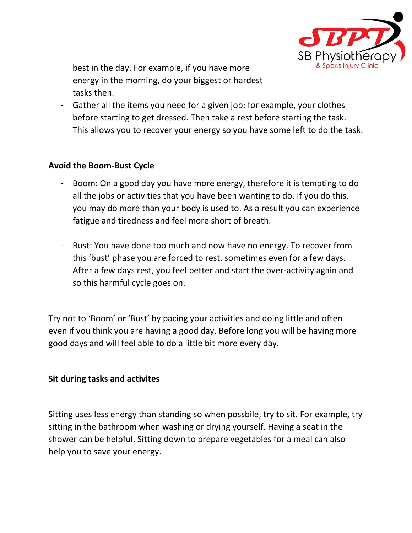

best in the day. For example, if you have more energy in the morning, do your biggest or hardest tasks then.

- Gather all the items you need for a given job; for example, your clothes before starting to get dressed. Then take a rest before starting the task. This allows you to recover your energy so you have some left to do the task.

## **Avoid the Boom-Bust Cycle**

- Boom: On a good day you have more energy, therefore it is tempting to do all the jobs or activities that you have been wanting to do. If you do this, you may do more than your body is used to. As a result you can experience fatigue and tiredness and feel more short of breath.
- Bust: You have done too much and now have no energy. To recover from this 'bust' phase you are forced to rest, sometimes even for a few days. After a few days rest, you feel better and start the over-activity again and so this harmful cycle goes on.

Try not to 'Boom' or 'Bust' by pacing your activities and doing little and often even if you think you are having a good day. Before long you will be having more good days and will feel able to do a little bit more every day.

#### **Sit during tasks and activites**

Sitting uses less energy than standing so when possbile, try to sit. For example, try sitting in the bathroom when washing or drying yourself. Having a seat in the shower can be helpful. Sitting down to prepare vegetables for a meal can also help you to save your energy.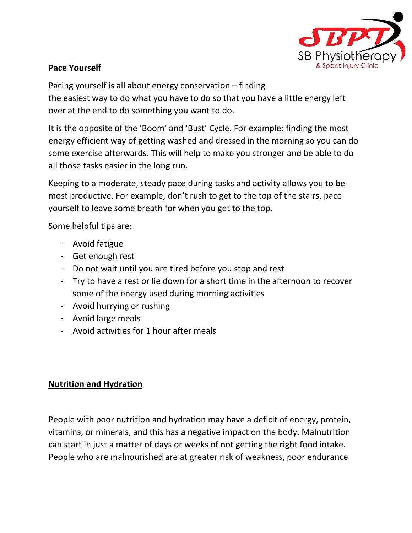

# **Pace Yourself**

Pacing yourself is all about energy conservation – finding the easiest way to do what you have to do so that you have a little energy left over at the end to do something you want to do.

It is the opposite of the 'Boom' and 'Bust' Cycle. For example: finding the most energy efficient way of getting washed and dressed in the morning so you can do some exercise afterwards. This will help to make you stronger and be able to do all those tasks easier in the long run.

Keeping to a moderate, steady pace during tasks and activity allows you to be most productive. For example, don't rush to get to the top of the stairs, pace yourself to leave some breath for when you get to the top.

Some helpful tips are:

- Avoid fatigue
- Get enough rest
- Do not wait until you are tired before you stop and rest
- Try to have a rest or lie down for a short time in the afternoon to recover some of the energy used during morning activities
- Avoid hurrying or rushing
- Avoid large meals
- Avoid activities for 1 hour after meals

## **Nutrition and Hydration**

People with poor nutrition and hydration may have a deficit of energy, protein, vitamins, or minerals, and this has a negative impact on the body. Malnutrition can start in just a matter of days or weeks of not getting the right food intake. People who are malnourished are at greater risk of weakness, poor endurance